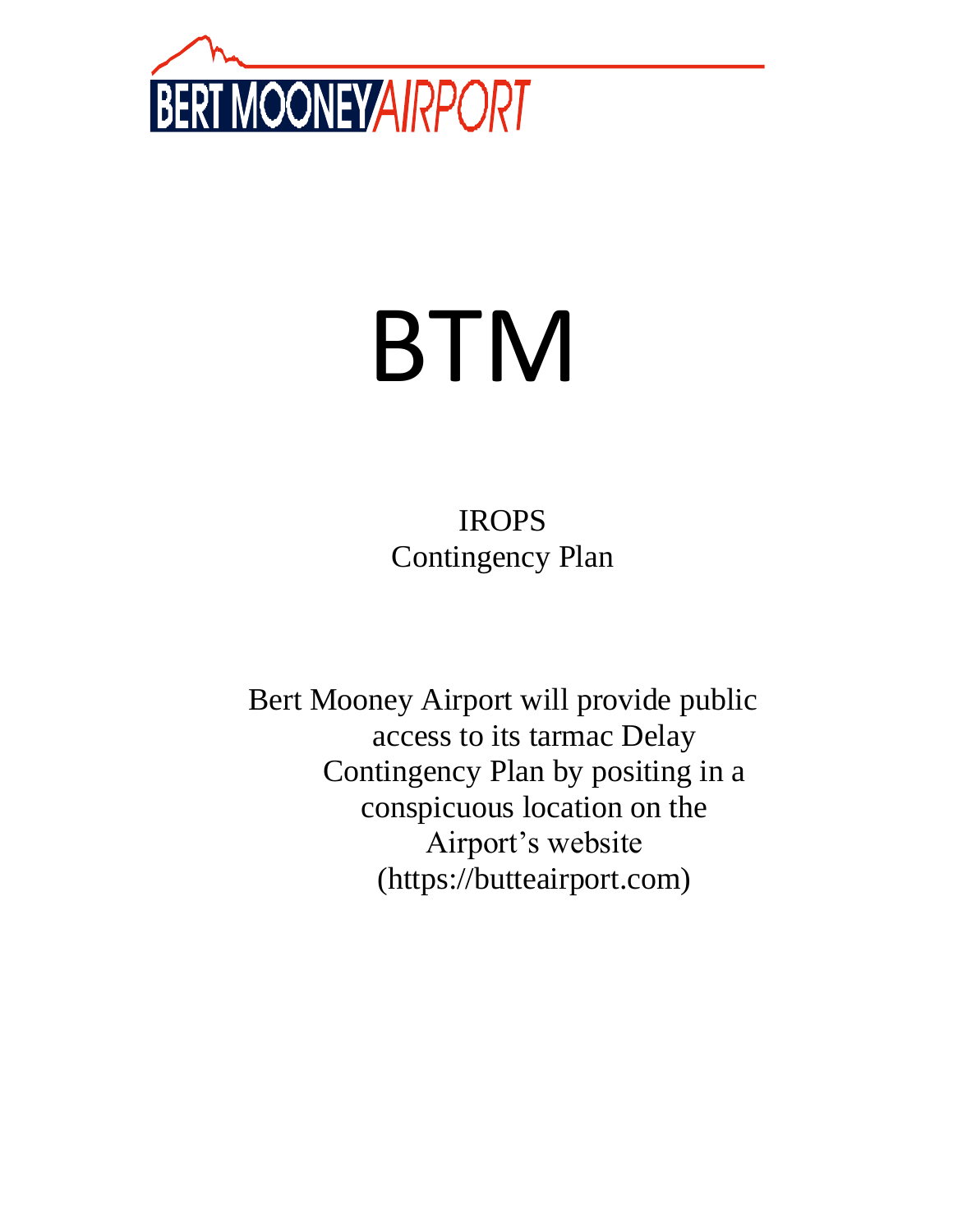

# BTM

IROPS Contingency Plan

Bert Mooney Airport will provide public access to its tarmac Delay Contingency Plan by positing in a conspicuous location on the Airport's website (https://butteairport.com)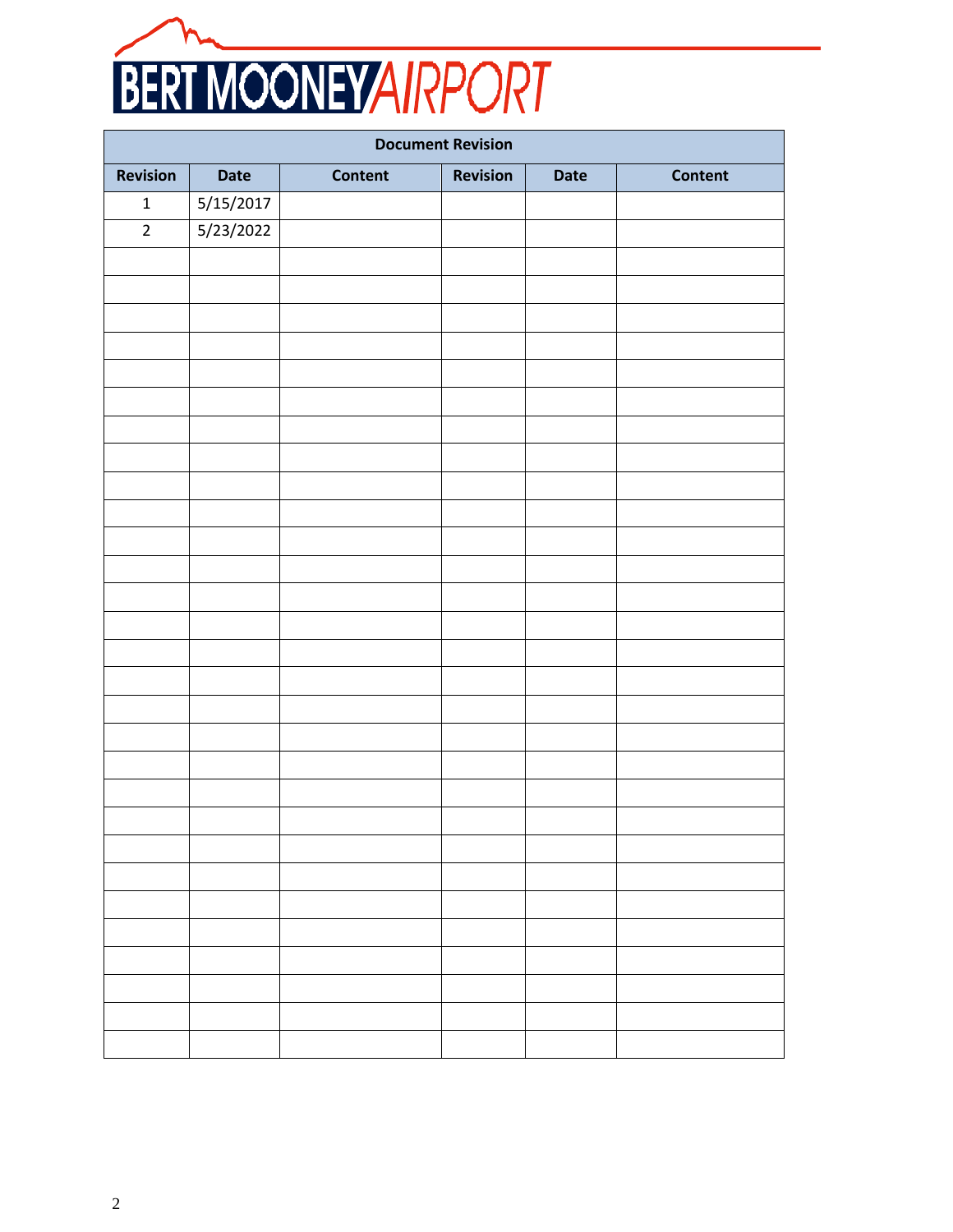

| <b>Document Revision</b> |             |                |          |             |         |  |
|--------------------------|-------------|----------------|----------|-------------|---------|--|
| <b>Revision</b>          | <b>Date</b> | <b>Content</b> | Revision | <b>Date</b> | Content |  |
| $\mathbf 1$              | 5/15/2017   |                |          |             |         |  |
| $\overline{2}$           | 5/23/2022   |                |          |             |         |  |
|                          |             |                |          |             |         |  |
|                          |             |                |          |             |         |  |
|                          |             |                |          |             |         |  |
|                          |             |                |          |             |         |  |
|                          |             |                |          |             |         |  |
|                          |             |                |          |             |         |  |
|                          |             |                |          |             |         |  |
|                          |             |                |          |             |         |  |
|                          |             |                |          |             |         |  |
|                          |             |                |          |             |         |  |
|                          |             |                |          |             |         |  |
|                          |             |                |          |             |         |  |
|                          |             |                |          |             |         |  |
|                          |             |                |          |             |         |  |
|                          |             |                |          |             |         |  |
|                          |             |                |          |             |         |  |
|                          |             |                |          |             |         |  |
|                          |             |                |          |             |         |  |
|                          |             |                |          |             |         |  |
|                          |             |                |          |             |         |  |
|                          |             |                |          |             |         |  |
|                          |             |                |          |             |         |  |
|                          |             |                |          |             |         |  |
|                          |             |                |          |             |         |  |
|                          |             |                |          |             |         |  |
|                          |             |                |          |             |         |  |
|                          |             |                |          |             |         |  |
|                          |             |                |          |             |         |  |
|                          |             |                |          |             |         |  |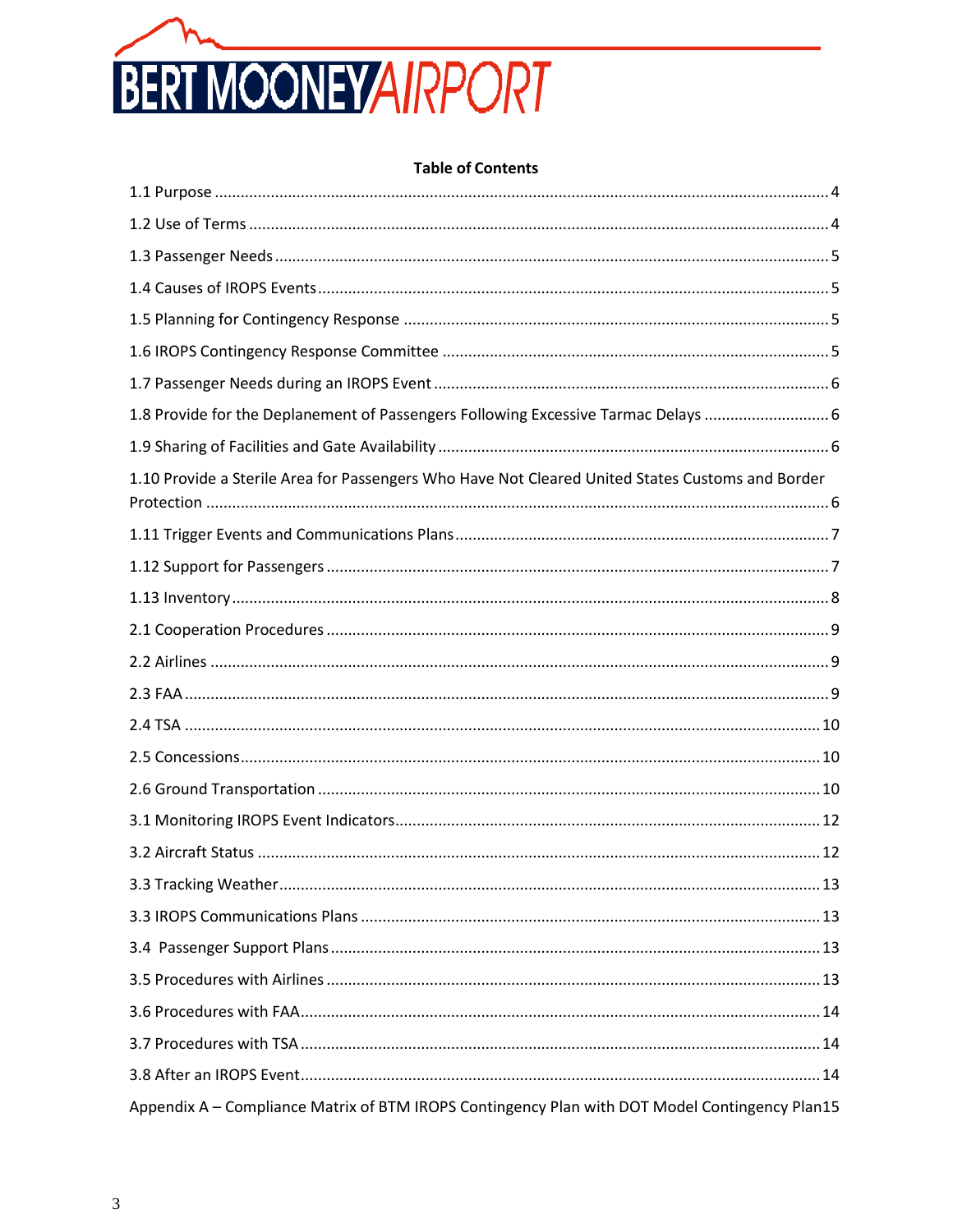

### **Table of Contents**

| 1.8 Provide for the Deplanement of Passengers Following Excessive Tarmac Delays  6               |
|--------------------------------------------------------------------------------------------------|
|                                                                                                  |
| 1.10 Provide a Sterile Area for Passengers Who Have Not Cleared United States Customs and Border |
|                                                                                                  |
|                                                                                                  |
|                                                                                                  |
|                                                                                                  |
|                                                                                                  |
|                                                                                                  |
|                                                                                                  |
|                                                                                                  |
|                                                                                                  |
|                                                                                                  |
|                                                                                                  |
|                                                                                                  |
|                                                                                                  |
|                                                                                                  |
|                                                                                                  |
|                                                                                                  |
|                                                                                                  |
|                                                                                                  |
| Appendix A - Compliance Matrix of BTM IROPS Contingency Plan with DOT Model Contingency Plan15   |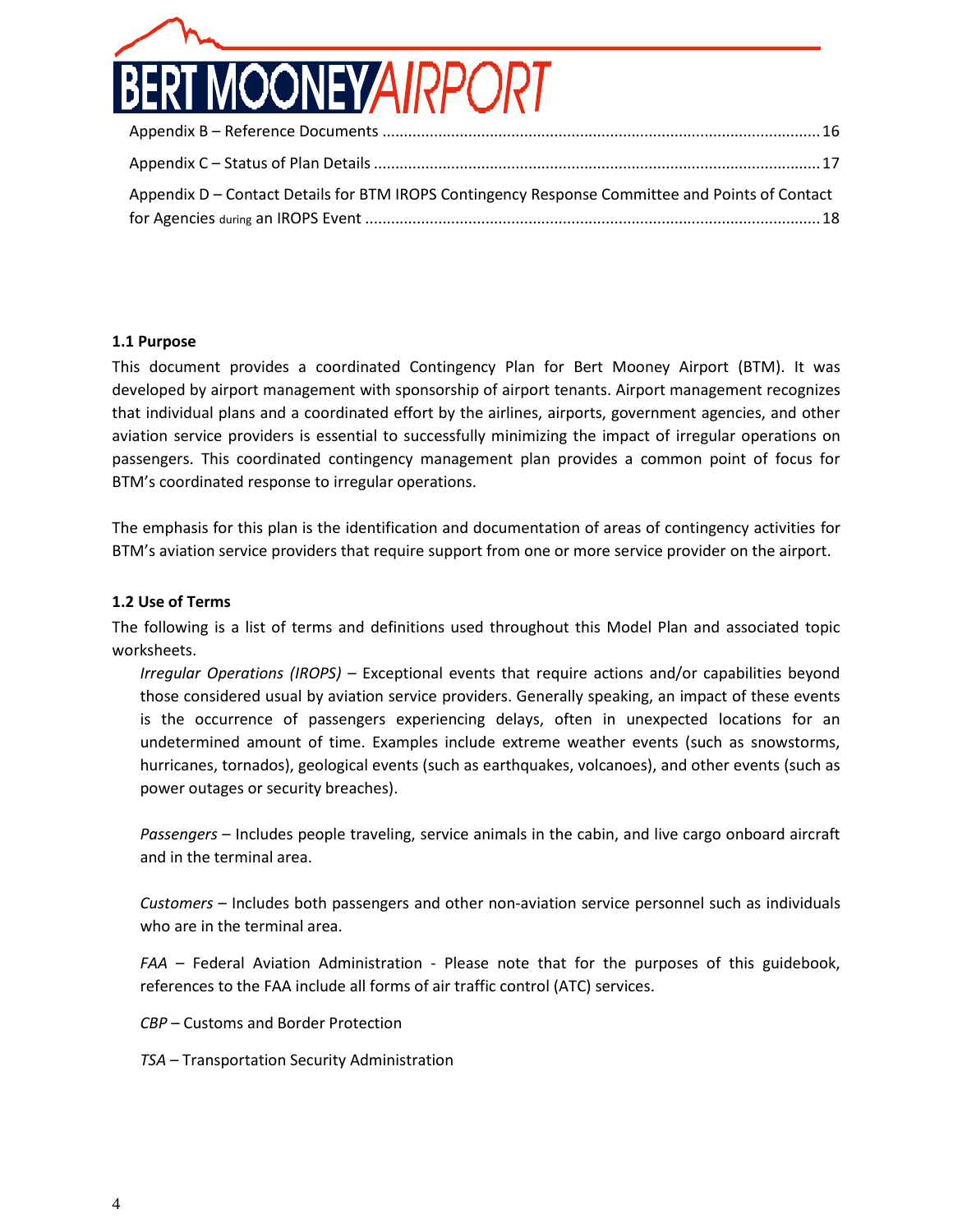

| Appendix D - Contact Details for BTM IROPS Contingency Response Committee and Points of Contact |  |
|-------------------------------------------------------------------------------------------------|--|
|                                                                                                 |  |

### <span id="page-3-0"></span>**1.1 Purpose**

This document provides a coordinated Contingency Plan for Bert Mooney Airport (BTM). It was developed by airport management with sponsorship of airport tenants. Airport management recognizes that individual plans and a coordinated effort by the airlines, airports, government agencies, and other aviation service providers is essential to successfully minimizing the impact of irregular operations on passengers. This coordinated contingency management plan provides a common point of focus for BTM's coordinated response to irregular operations.

The emphasis for this plan is the identification and documentation of areas of contingency activities for BTM's aviation service providers that require support from one or more service provider on the airport.

### <span id="page-3-1"></span>**1.2 Use of Terms**

The following is a list of terms and definitions used throughout this Model Plan and associated topic worksheets.

*Irregular Operations (IROPS)* – Exceptional events that require actions and/or capabilities beyond those considered usual by aviation service providers. Generally speaking, an impact of these events is the occurrence of passengers experiencing delays, often in unexpected locations for an undetermined amount of time. Examples include extreme weather events (such as snowstorms, hurricanes, tornados), geological events (such as earthquakes, volcanoes), and other events (such as power outages or security breaches).

*Passengers* – Includes people traveling, service animals in the cabin, and live cargo onboard aircraft and in the terminal area.

*Customers* – Includes both passengers and other non-aviation service personnel such as individuals who are in the terminal area.

*FAA* – Federal Aviation Administration - Please note that for the purposes of this guidebook, references to the FAA include all forms of air traffic control (ATC) services.

*CBP* – Customs and Border Protection

*TSA* – Transportation Security Administration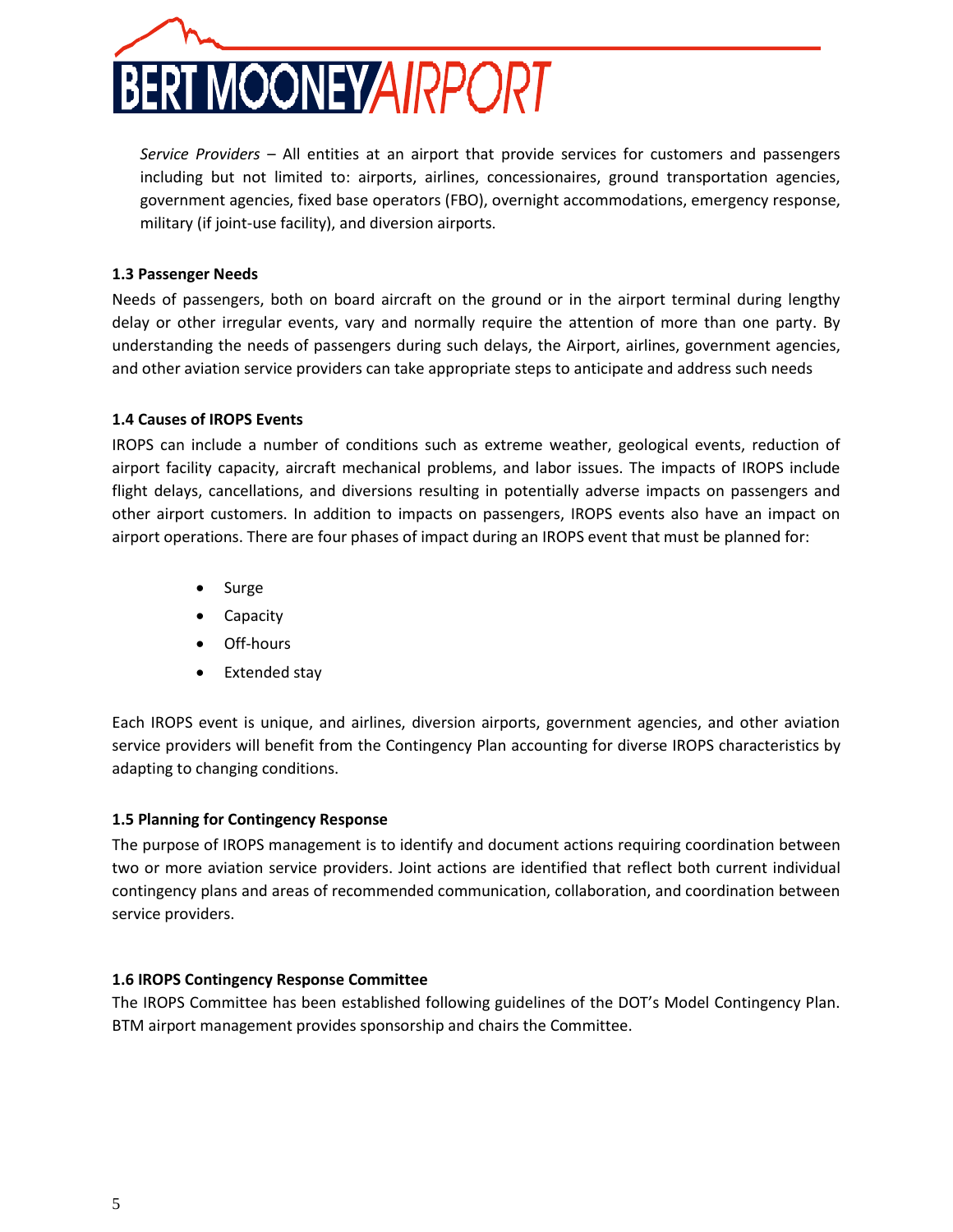

*Service Providers* – All entities at an airport that provide services for customers and passengers including but not limited to: airports, airlines, concessionaires, ground transportation agencies, government agencies, fixed base operators (FBO), overnight accommodations, emergency response, military (if joint-use facility), and diversion airports.

### <span id="page-4-0"></span>**1.3 Passenger Needs**

Needs of passengers, both on board aircraft on the ground or in the airport terminal during lengthy delay or other irregular events, vary and normally require the attention of more than one party. By understanding the needs of passengers during such delays, the Airport, airlines, government agencies, and other aviation service providers can take appropriate steps to anticipate and address such needs

### <span id="page-4-1"></span>**1.4 Causes of IROPS Events**

IROPS can include a number of conditions such as extreme weather, geological events, reduction of airport facility capacity, aircraft mechanical problems, and labor issues. The impacts of IROPS include flight delays, cancellations, and diversions resulting in potentially adverse impacts on passengers and other airport customers. In addition to impacts on passengers, IROPS events also have an impact on airport operations. There are four phases of impact during an IROPS event that must be planned for:

- Surge
- **Capacity**
- Off-hours
- Extended stay

Each IROPS event is unique, and airlines, diversion airports, government agencies, and other aviation service providers will benefit from the Contingency Plan accounting for diverse IROPS characteristics by adapting to changing conditions.

### <span id="page-4-2"></span>**1.5 Planning for Contingency Response**

The purpose of IROPS management is to identify and document actions requiring coordination between two or more aviation service providers. Joint actions are identified that reflect both current individual contingency plans and areas of recommended communication, collaboration, and coordination between service providers.

### <span id="page-4-3"></span>**1.6 IROPS Contingency Response Committee**

The IROPS Committee has been established following guidelines of the DOT's Model Contingency Plan. BTM airport management provides sponsorship and chairs the Committee.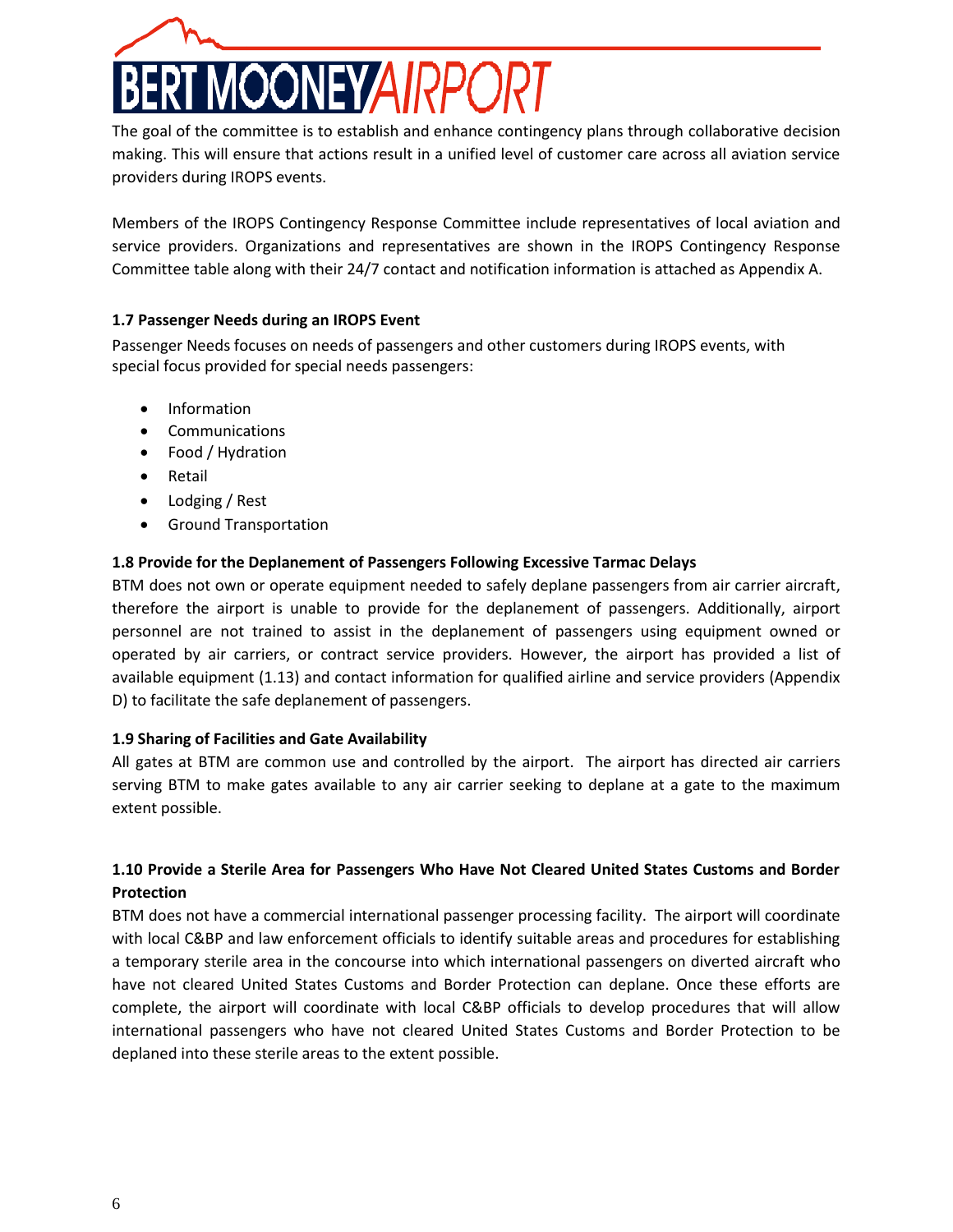

The goal of the committee is to establish and enhance contingency plans through collaborative decision making. This will ensure that actions result in a unified level of customer care across all aviation service providers during IROPS events.

Members of the IROPS Contingency Response Committee include representatives of local aviation and service providers. Organizations and representatives are shown in the IROPS Contingency Response Committee table along with their 24/7 contact and notification information is attached as Appendix A.

### <span id="page-5-0"></span>**1.7 Passenger Needs during an IROPS Event**

Passenger Needs focuses on needs of passengers and other customers during IROPS events, with special focus provided for special needs passengers:

- Information
- Communications
- Food / Hydration
- Retail
- Lodging / Rest
- Ground Transportation

### <span id="page-5-1"></span>**1.8 Provide for the Deplanement of Passengers Following Excessive Tarmac Delays**

BTM does not own or operate equipment needed to safely deplane passengers from air carrier aircraft, therefore the airport is unable to provide for the deplanement of passengers. Additionally, airport personnel are not trained to assist in the deplanement of passengers using equipment owned or operated by air carriers, or contract service providers. However, the airport has provided a list of available equipment (1.13) and contact information for qualified airline and service providers (Appendix D) to facilitate the safe deplanement of passengers.

### <span id="page-5-2"></span>**1.9 Sharing of Facilities and Gate Availability**

All gates at BTM are common use and controlled by the airport. The airport has directed air carriers serving BTM to make gates available to any air carrier seeking to deplane at a gate to the maximum extent possible.

# <span id="page-5-3"></span>**1.10 Provide a Sterile Area for Passengers Who Have Not Cleared United States Customs and Border Protection**

BTM does not have a commercial international passenger processing facility. The airport will coordinate with local C&BP and law enforcement officials to identify suitable areas and procedures for establishing a temporary sterile area in the concourse into which international passengers on diverted aircraft who have not cleared United States Customs and Border Protection can deplane. Once these efforts are complete, the airport will coordinate with local C&BP officials to develop procedures that will allow international passengers who have not cleared United States Customs and Border Protection to be deplaned into these sterile areas to the extent possible.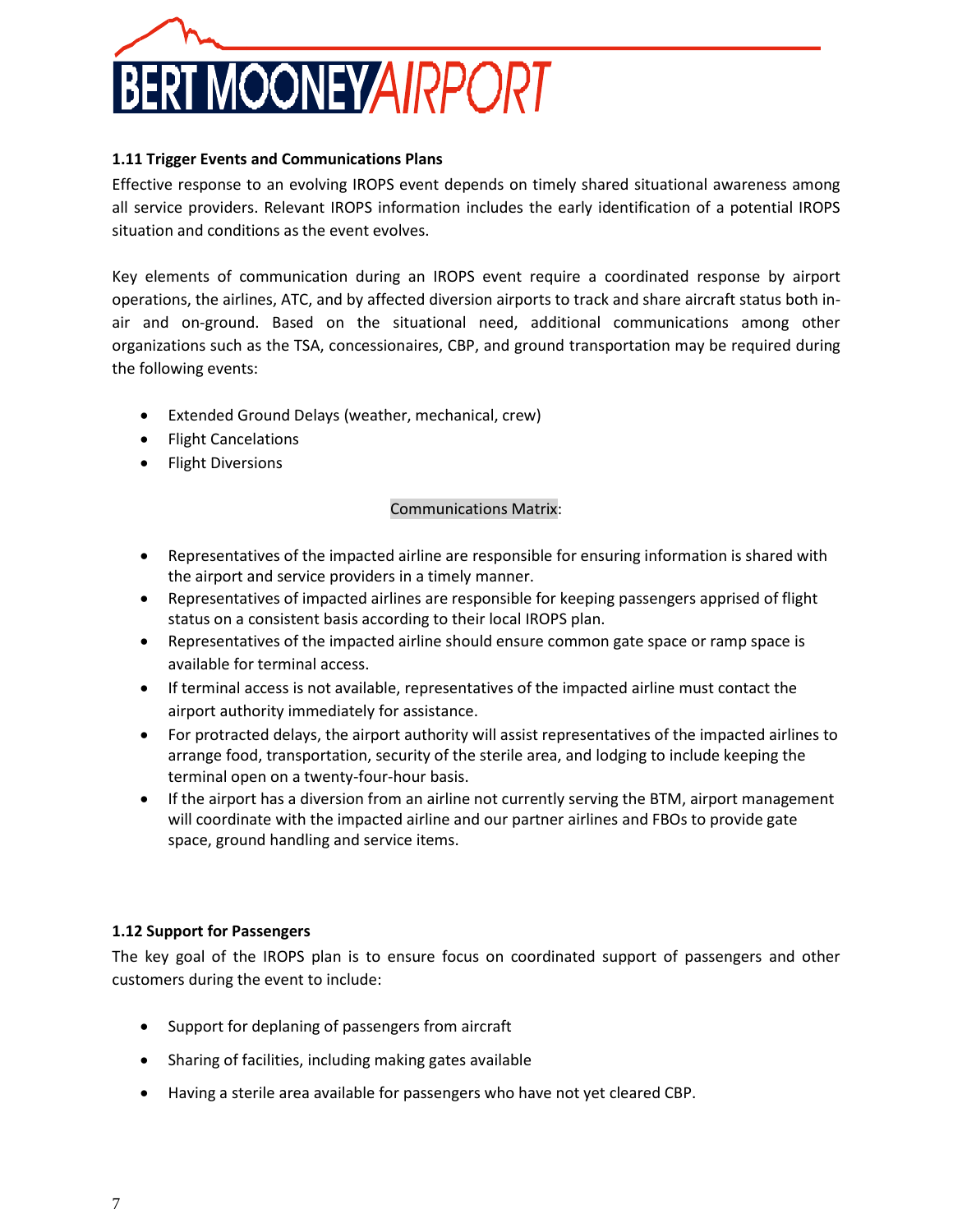

### <span id="page-6-0"></span>**1.11 Trigger Events and Communications Plans**

Effective response to an evolving IROPS event depends on timely shared situational awareness among all service providers. Relevant IROPS information includes the early identification of a potential IROPS situation and conditions as the event evolves.

Key elements of communication during an IROPS event require a coordinated response by airport operations, the airlines, ATC, and by affected diversion airports to track and share aircraft status both inair and on-ground. Based on the situational need, additional communications among other organizations such as the TSA, concessionaires, CBP, and ground transportation may be required during the following events:

- Extended Ground Delays (weather, mechanical, crew)
- Flight Cancelations
- Flight Diversions

### Communications Matrix:

- Representatives of the impacted airline are responsible for ensuring information is shared with the airport and service providers in a timely manner.
- Representatives of impacted airlines are responsible for keeping passengers apprised of flight status on a consistent basis according to their local IROPS plan.
- Representatives of the impacted airline should ensure common gate space or ramp space is available for terminal access.
- If terminal access is not available, representatives of the impacted airline must contact the airport authority immediately for assistance.
- For protracted delays, the airport authority will assist representatives of the impacted airlines to arrange food, transportation, security of the sterile area, and lodging to include keeping the terminal open on a twenty-four-hour basis.
- If the airport has a diversion from an airline not currently serving the BTM, airport management will coordinate with the impacted airline and our partner airlines and FBOs to provide gate space, ground handling and service items.

### <span id="page-6-1"></span>**1.12 Support for Passengers**

The key goal of the IROPS plan is to ensure focus on coordinated support of passengers and other customers during the event to include:

- Support for deplaning of passengers from aircraft
- Sharing of facilities, including making gates available
- Having a sterile area available for passengers who have not yet cleared CBP.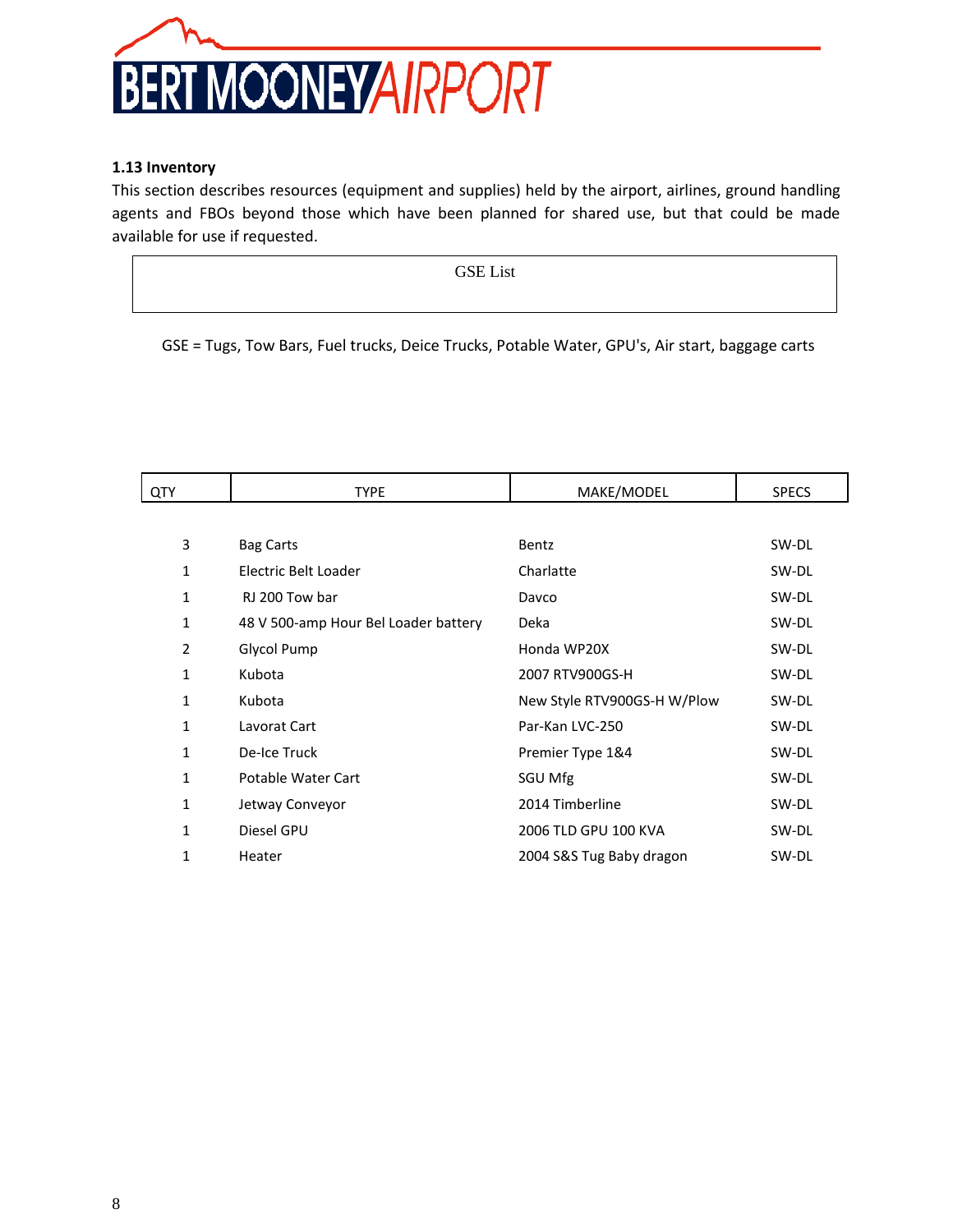

### <span id="page-7-0"></span>**1.13 Inventory**

This section describes resources (equipment and supplies) held by the airport, airlines, ground handling agents and FBOs beyond those which have been planned for shared use, but that could be made available for use if requested.

**GSE LIST** GSE List

GSE = Tugs, Tow Bars, Fuel trucks, Deice Trucks, Potable Water, GPU's, Air start, baggage carts

| QTY          | <b>TYPE</b>                          | MAKE/MODEL                  | <b>SPECS</b> |
|--------------|--------------------------------------|-----------------------------|--------------|
|              |                                      |                             |              |
| 3            | <b>Bag Carts</b>                     | Bentz                       | SW-DL        |
| 1            | Electric Belt Loader                 | Charlatte                   | SW-DL        |
| 1            | RJ 200 Tow bar                       | Davco                       | SW-DL        |
| 1            | 48 V 500-amp Hour Bel Loader battery | Deka                        | SW-DL        |
| 2            | Glycol Pump                          | Honda WP20X                 | SW-DL        |
| 1            | Kubota                               | 2007 RTV900GS-H             | SW-DL        |
| 1            | Kubota                               | New Style RTV900GS-H W/Plow | SW-DL        |
| 1            | Lavorat Cart                         | Par-Kan LVC-250             | SW-DL        |
| 1            | De-Ice Truck                         | Premier Type 1&4            | SW-DL        |
| $\mathbf{1}$ | Potable Water Cart                   | SGU Mfg                     | SW-DL        |
| 1            | Jetway Conveyor                      | 2014 Timberline             | SW-DL        |
| $\mathbf{1}$ | Diesel GPU                           | 2006 TLD GPU 100 KVA        | SW-DL        |
| 1            | Heater                               | 2004 S&S Tug Baby dragon    | SW-DL        |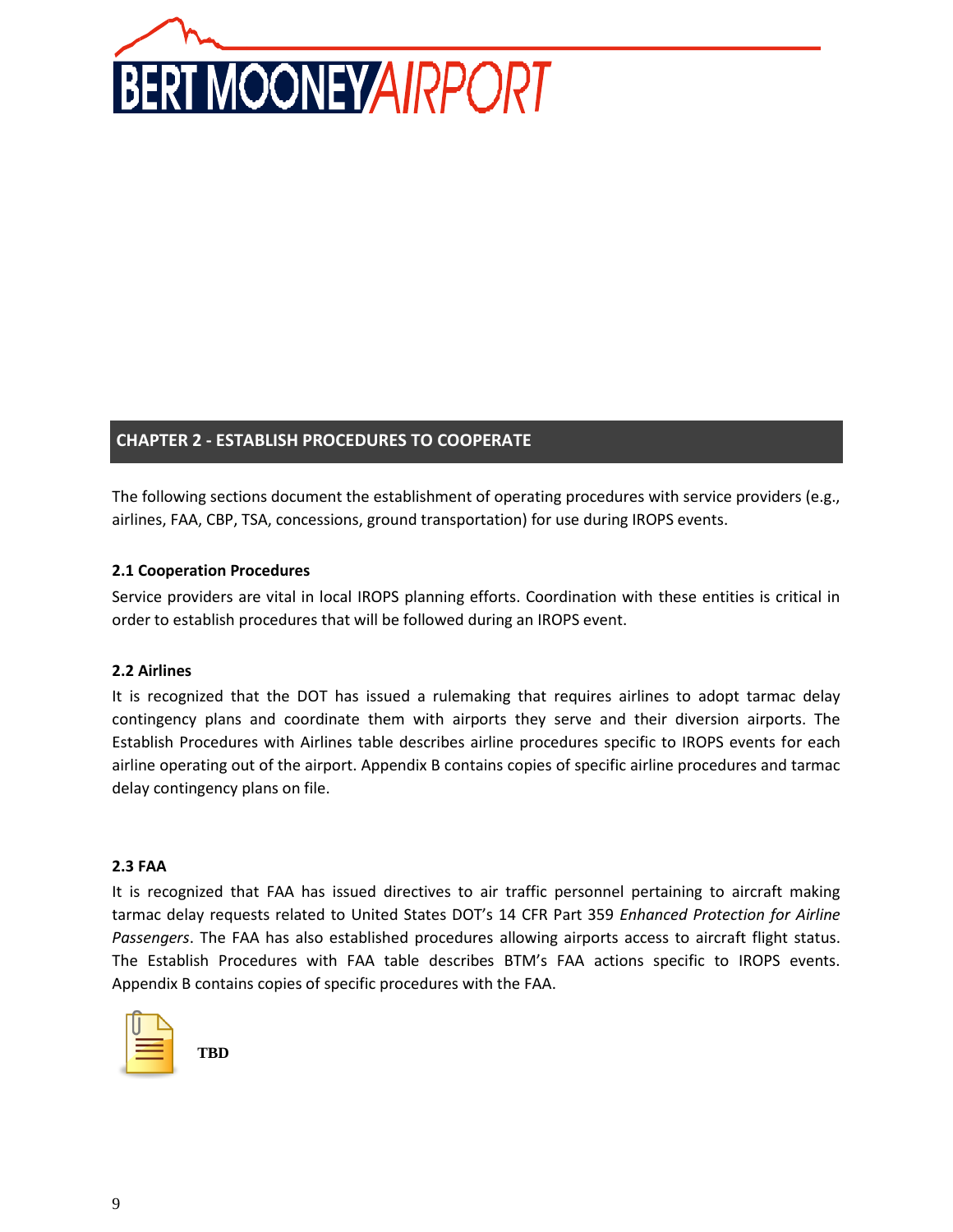

# **CHAPTER 2 - ESTABLISH PROCEDURES TO COOPERATE**

The following sections document the establishment of operating procedures with service providers (e.g., airlines, FAA, CBP, TSA, concessions, ground transportation) for use during IROPS events.

### <span id="page-8-0"></span>**2.1 Cooperation Procedures**

Service providers are vital in local IROPS planning efforts. Coordination with these entities is critical in order to establish procedures that will be followed during an IROPS event.

### <span id="page-8-1"></span>**2.2 Airlines**

It is recognized that the DOT has issued a rulemaking that requires airlines to adopt tarmac delay contingency plans and coordinate them with airports they serve and their diversion airports. The Establish Procedures with Airlines table describes airline procedures specific to IROPS events for each airline operating out of the airport. Appendix B contains copies of specific airline procedures and tarmac delay contingency plans on file.

### <span id="page-8-2"></span>**2.3 FAA**

It is recognized that FAA has issued directives to air traffic personnel pertaining to aircraft making tarmac delay requests related to United States DOT's 14 CFR Part 359 *Enhanced Protection for Airline Passengers*. The FAA has also established procedures allowing airports access to aircraft flight status. The Establish Procedures with FAA table describes BTM's FAA actions specific to IROPS events. Appendix B contains copies of specific procedures with the FAA.

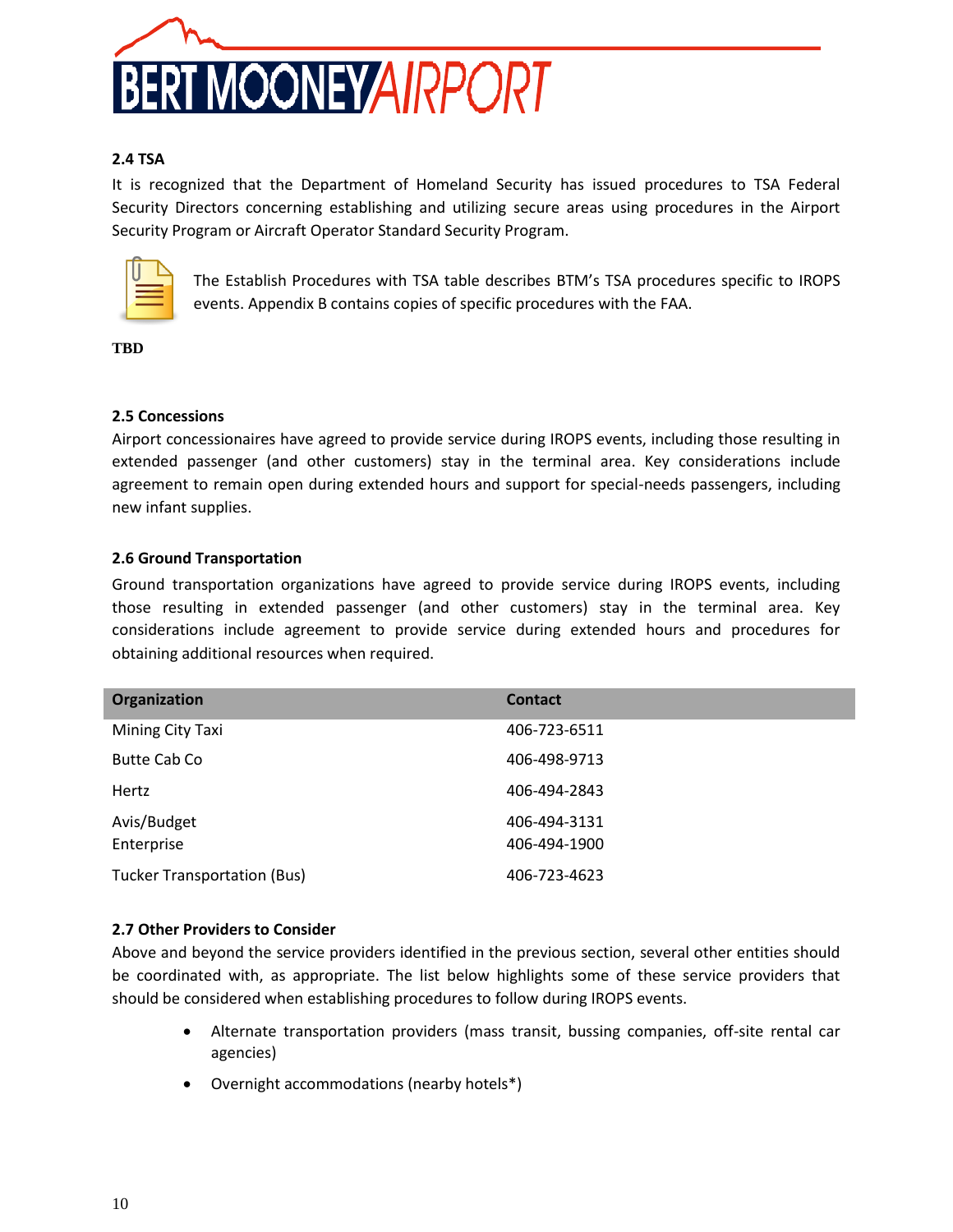

### <span id="page-9-0"></span>**2.4 TSA**

It is recognized that the Department of Homeland Security has issued procedures to TSA Federal Security Directors concerning establishing and utilizing secure areas using procedures in the Airport Security Program or Aircraft Operator Standard Security Program.



The Establish Procedures with TSA table describes BTM's TSA procedures specific to IROPS events. Appendix B contains copies of specific procedures with the FAA.

**TBD**

### <span id="page-9-1"></span>**2.5 Concessions**

Airport concessionaires have agreed to provide service during IROPS events, including those resulting in extended passenger (and other customers) stay in the terminal area. Key considerations include agreement to remain open during extended hours and support for special-needs passengers, including new infant supplies.

### <span id="page-9-2"></span>**2.6 Ground Transportation**

Ground transportation organizations have agreed to provide service during IROPS events, including those resulting in extended passenger (and other customers) stay in the terminal area. Key considerations include agreement to provide service during extended hours and procedures for obtaining additional resources when required.

| Organization                       | <b>Contact</b>               |
|------------------------------------|------------------------------|
| Mining City Taxi                   | 406-723-6511                 |
| Butte Cab Co                       | 406-498-9713                 |
| Hertz                              | 406-494-2843                 |
| Avis/Budget<br>Enterprise          | 406-494-3131<br>406-494-1900 |
| <b>Tucker Transportation (Bus)</b> | 406-723-4623                 |

### **2.7 Other Providers to Consider**

Above and beyond the service providers identified in the previous section, several other entities should be coordinated with, as appropriate. The list below highlights some of these service providers that should be considered when establishing procedures to follow during IROPS events.

- Alternate transportation providers (mass transit, bussing companies, off-site rental car agencies)
- Overnight accommodations (nearby hotels\*)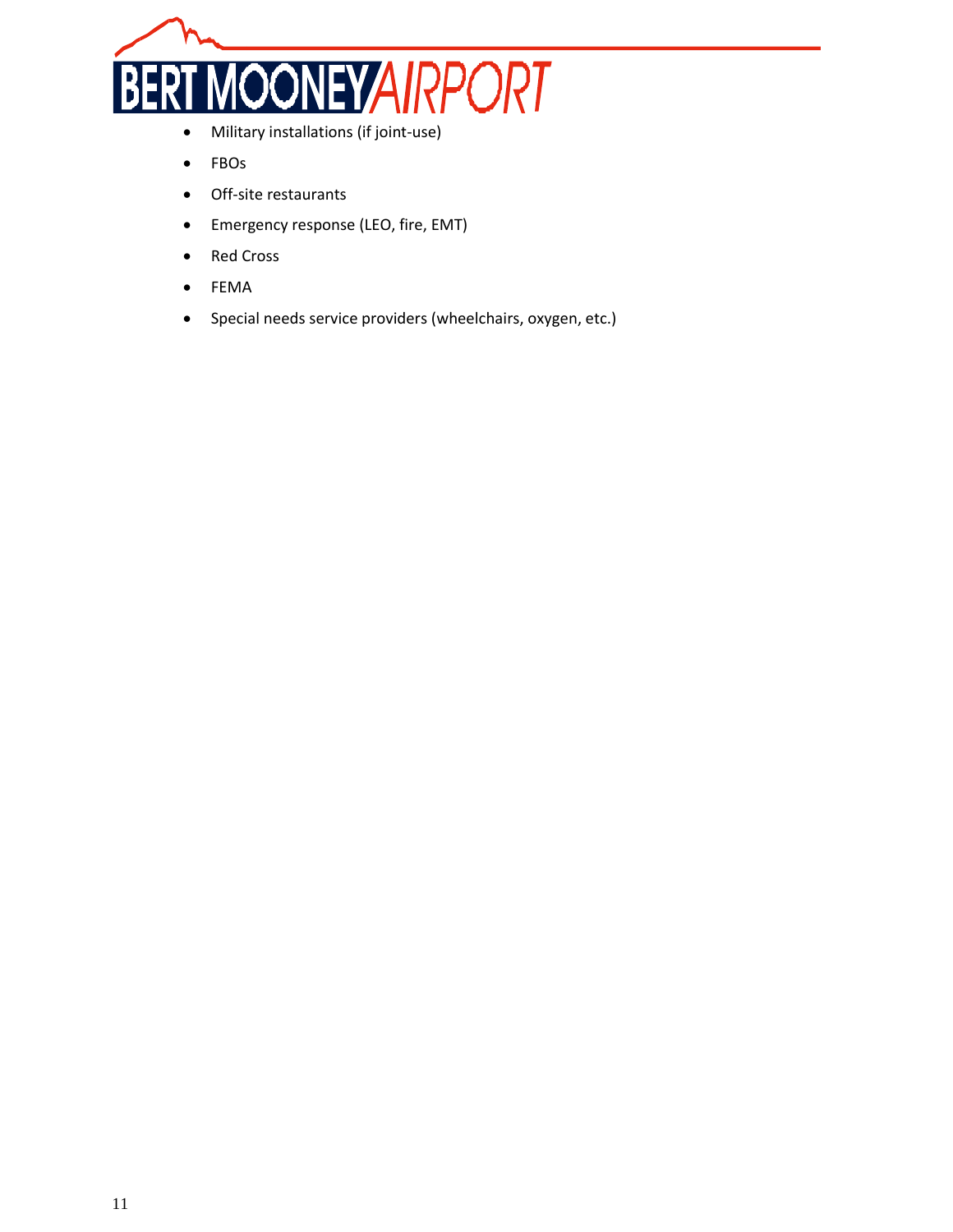

- Military installations (if joint-use)
- FBOs
- Off-site restaurants
- Emergency response (LEO, fire, EMT)
- Red Cross
- FEMA
- Special needs service providers (wheelchairs, oxygen, etc.)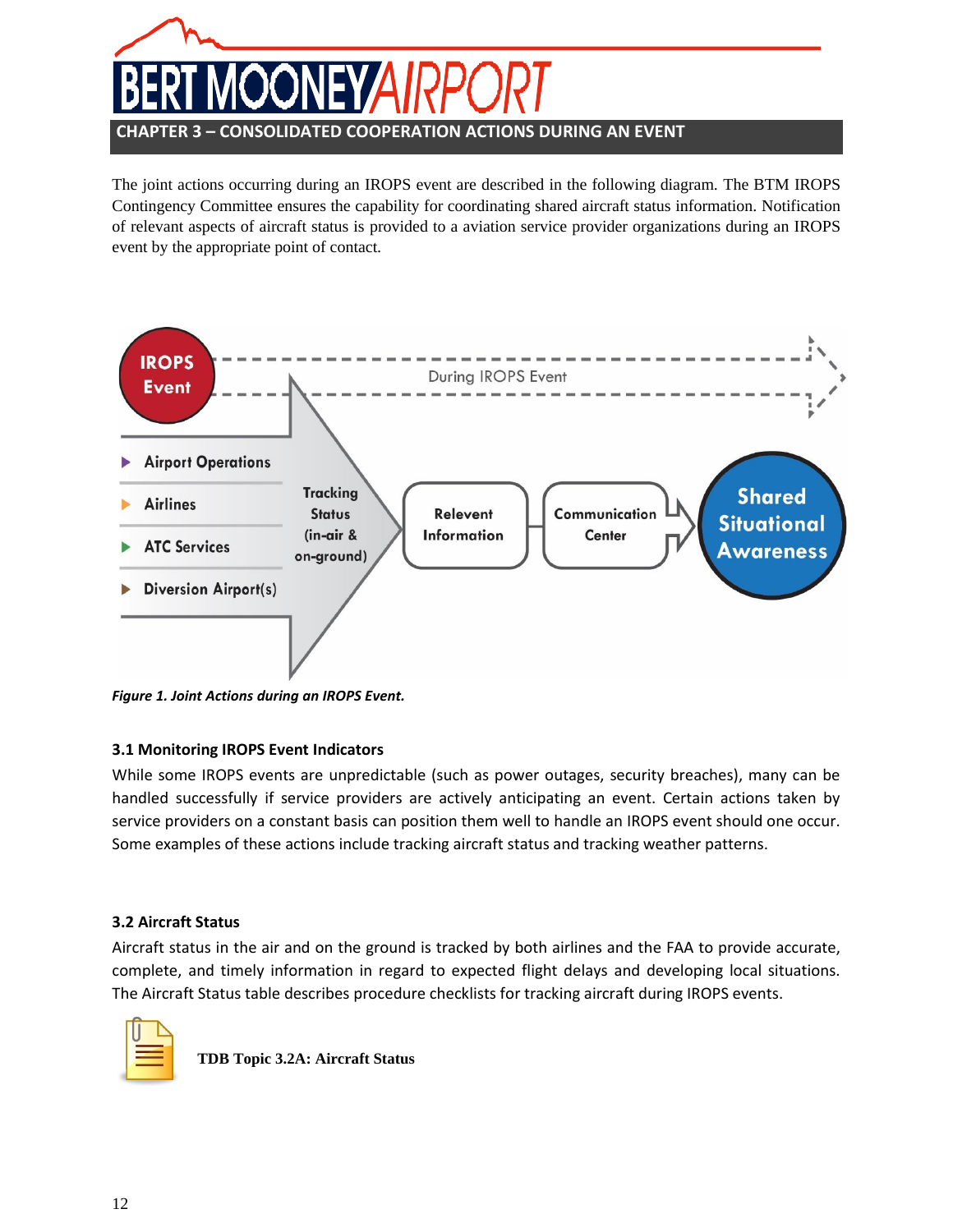# **CHAPTER 3 – CONSOLIDATED COOPERATION ACTIONS DURING AN EVENT**

The joint actions occurring during an IROPS event are described in the following diagram. The BTM IROPS Contingency Committee ensures the capability for coordinating shared aircraft status information. Notification of relevant aspects of aircraft status is provided to a aviation service provider organizations during an IROPS event by the appropriate point of contact.



<span id="page-11-0"></span>*Figure 1. Joint Actions during an IROPS Event.*

# **3.1 Monitoring IROPS Event Indicators**

While some IROPS events are unpredictable (such as power outages, security breaches), many can be handled successfully if service providers are actively anticipating an event. Certain actions taken by service providers on a constant basis can position them well to handle an IROPS event should one occur. Some examples of these actions include tracking aircraft status and tracking weather patterns.

### <span id="page-11-1"></span>**3.2 Aircraft Status**

Aircraft status in the air and on the ground is tracked by both airlines and the FAA to provide accurate, complete, and timely information in regard to expected flight delays and developing local situations. The Aircraft Status table describes procedure checklists for tracking aircraft during IROPS events.



**TDB Topic 3.2A: Aircraft Status**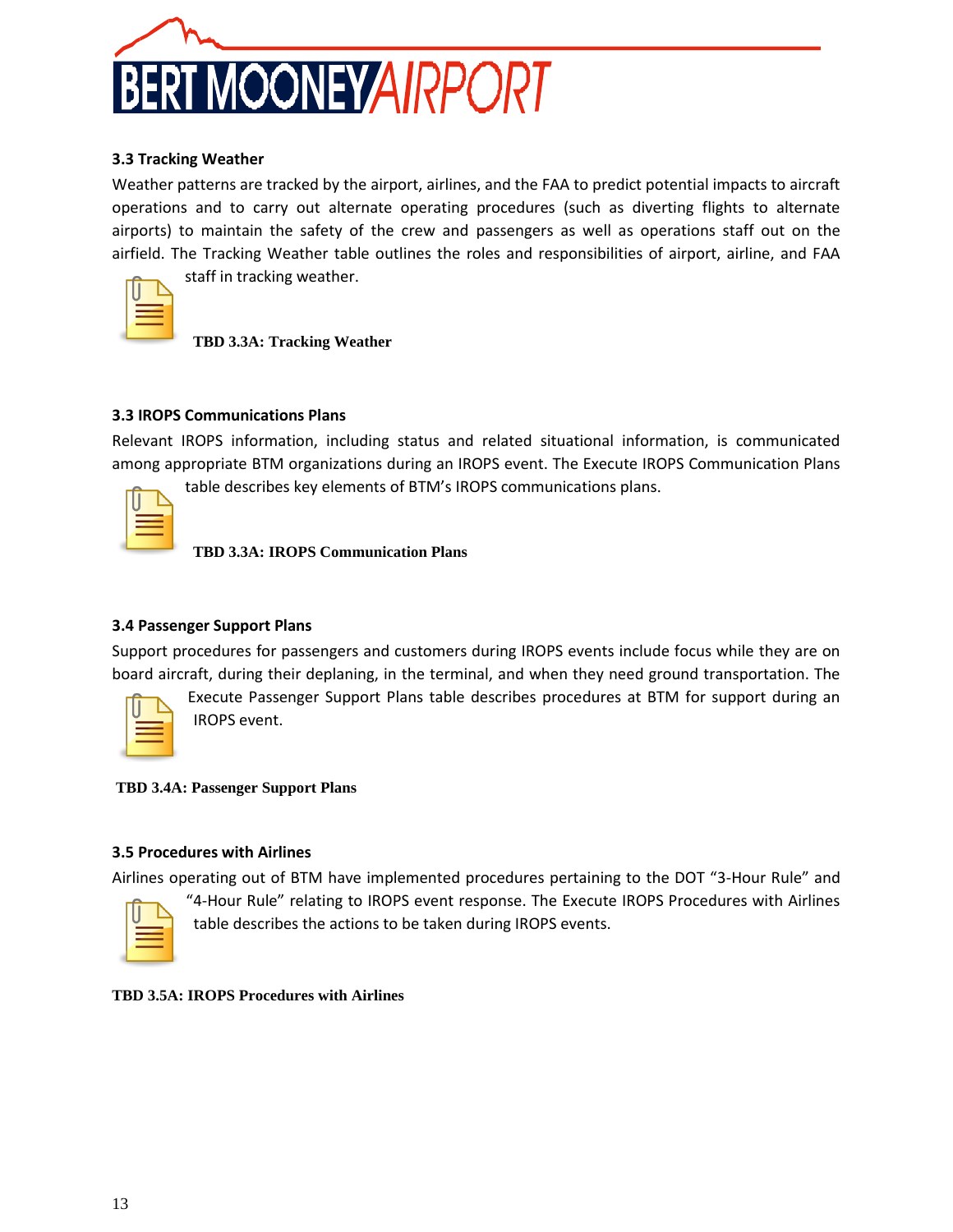

### <span id="page-12-0"></span>**3.3 Tracking Weather**

Weather patterns are tracked by the airport, airlines, and the FAA to predict potential impacts to aircraft operations and to carry out alternate operating procedures (such as diverting flights to alternate airports) to maintain the safety of the crew and passengers as well as operations staff out on the airfield. The Tracking Weather table outlines the roles and responsibilities of airport, airline, and FAA

staff in tracking weather.

**TBD 3.3A: Tracking Weather** 

### <span id="page-12-1"></span>**3.3 IROPS Communications Plans**

Relevant IROPS information, including status and related situational information, is communicated among appropriate BTM organizations during an IROPS event. The Execute IROPS Communication Plans

table describes key elements of BTM's IROPS communications plans.

**TBD 3.3A: IROPS Communication Plans**

### <span id="page-12-2"></span>**3.4 Passenger Support Plans**

Support procedures for passengers and customers during IROPS events include focus while they are on board aircraft, during their deplaning, in the terminal, and when they need ground transportation. The

Execute Passenger Support Plans table describes procedures at BTM for support during an IROPS event.

**TBD 3.4A: Passenger Support Plans**

### <span id="page-12-3"></span>**3.5 Procedures with Airlines**

Airlines operating out of BTM have implemented procedures pertaining to the DOT "3-Hour Rule" and

"4-Hour Rule" relating to IROPS event response. The Execute IROPS Procedures with Airlines table describes the actions to be taken during IROPS events.

**TBD 3.5A: IROPS Procedures with Airlines**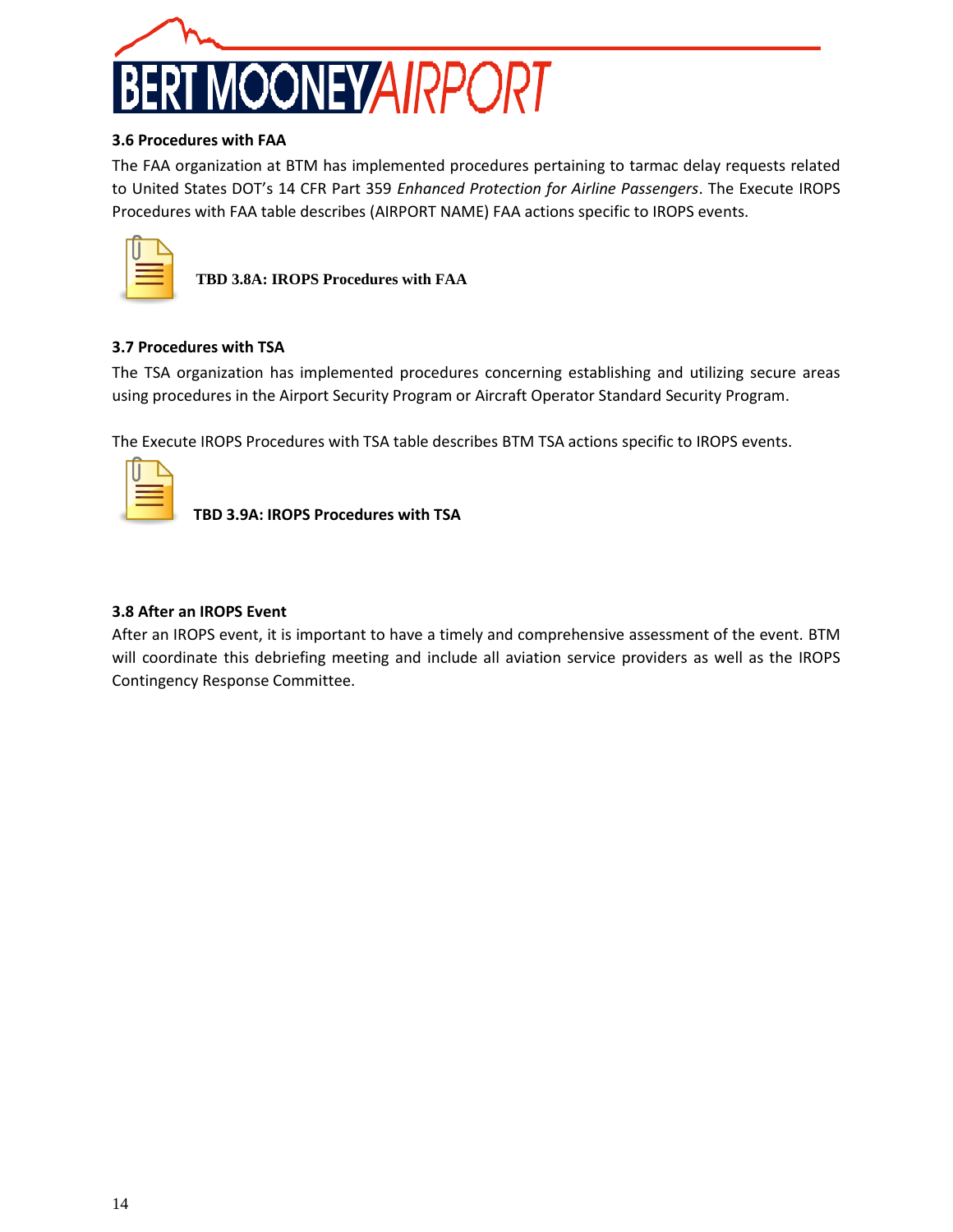

### <span id="page-13-0"></span>**3.6 Procedures with FAA**

The FAA organization at BTM has implemented procedures pertaining to tarmac delay requests related to United States DOT's 14 CFR Part 359 *Enhanced Protection for Airline Passengers*. The Execute IROPS Procedures with FAA table describes (AIRPORT NAME) FAA actions specific to IROPS events.

**TBD 3.8A: IROPS Procedures with FAA**

### <span id="page-13-1"></span>**3.7 Procedures with TSA**

The TSA organization has implemented procedures concerning establishing and utilizing secure areas using procedures in the Airport Security Program or Aircraft Operator Standard Security Program.

The Execute IROPS Procedures with TSA table describes BTM TSA actions specific to IROPS events.

|  | and the state of the state of the state of |  |
|--|--------------------------------------------|--|

**TBD 3.9A: IROPS Procedures with TSA**

### <span id="page-13-2"></span>**3.8 After an IROPS Event**

After an IROPS event, it is important to have a timely and comprehensive assessment of the event. BTM will coordinate this debriefing meeting and include all aviation service providers as well as the IROPS Contingency Response Committee.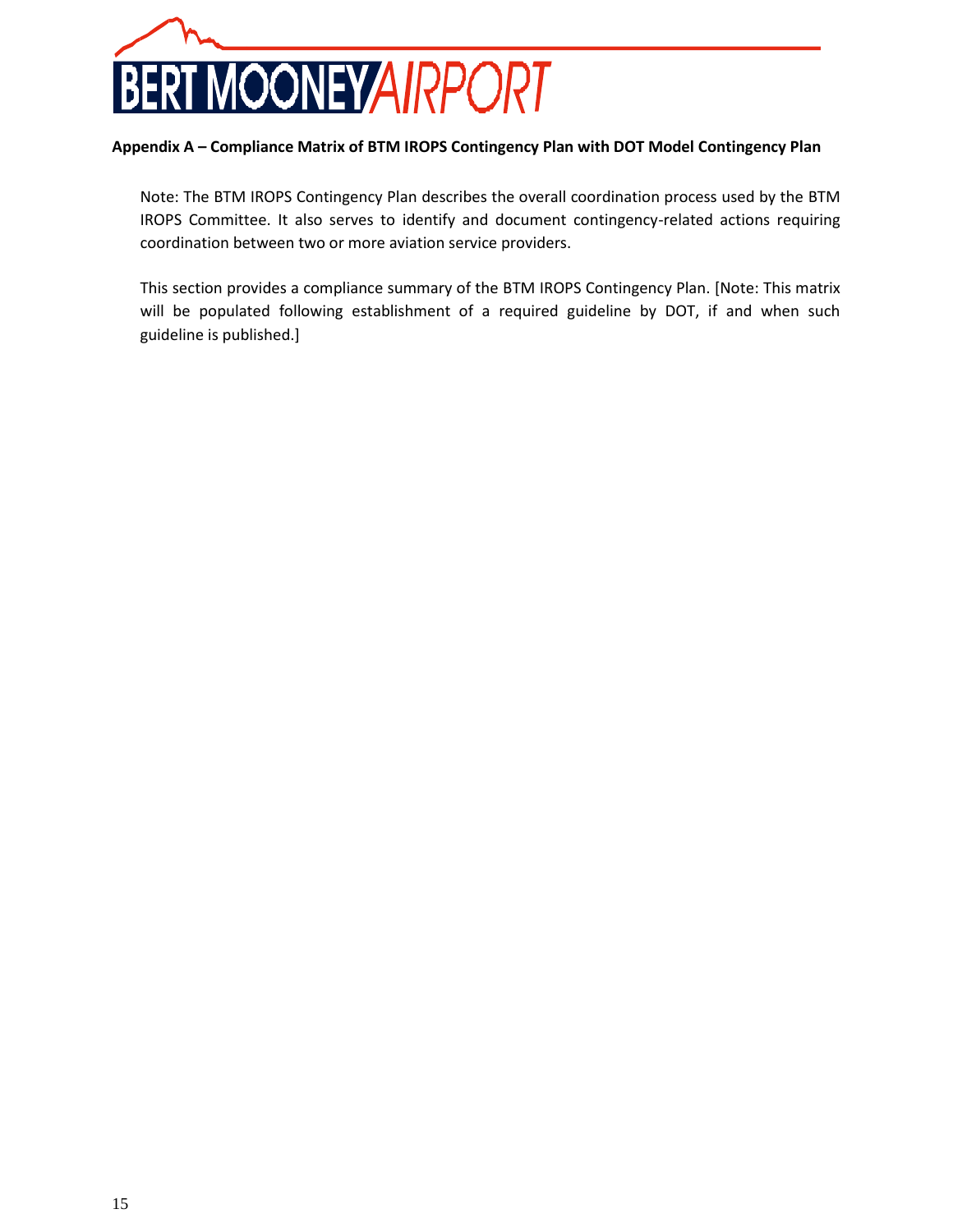

### <span id="page-14-0"></span>**Appendix A – Compliance Matrix of BTM IROPS Contingency Plan with DOT Model Contingency Plan**

Note: The BTM IROPS Contingency Plan describes the overall coordination process used by the BTM IROPS Committee. It also serves to identify and document contingency-related actions requiring coordination between two or more aviation service providers.

This section provides a compliance summary of the BTM IROPS Contingency Plan. [Note: This matrix will be populated following establishment of a required guideline by DOT, if and when such guideline is published.]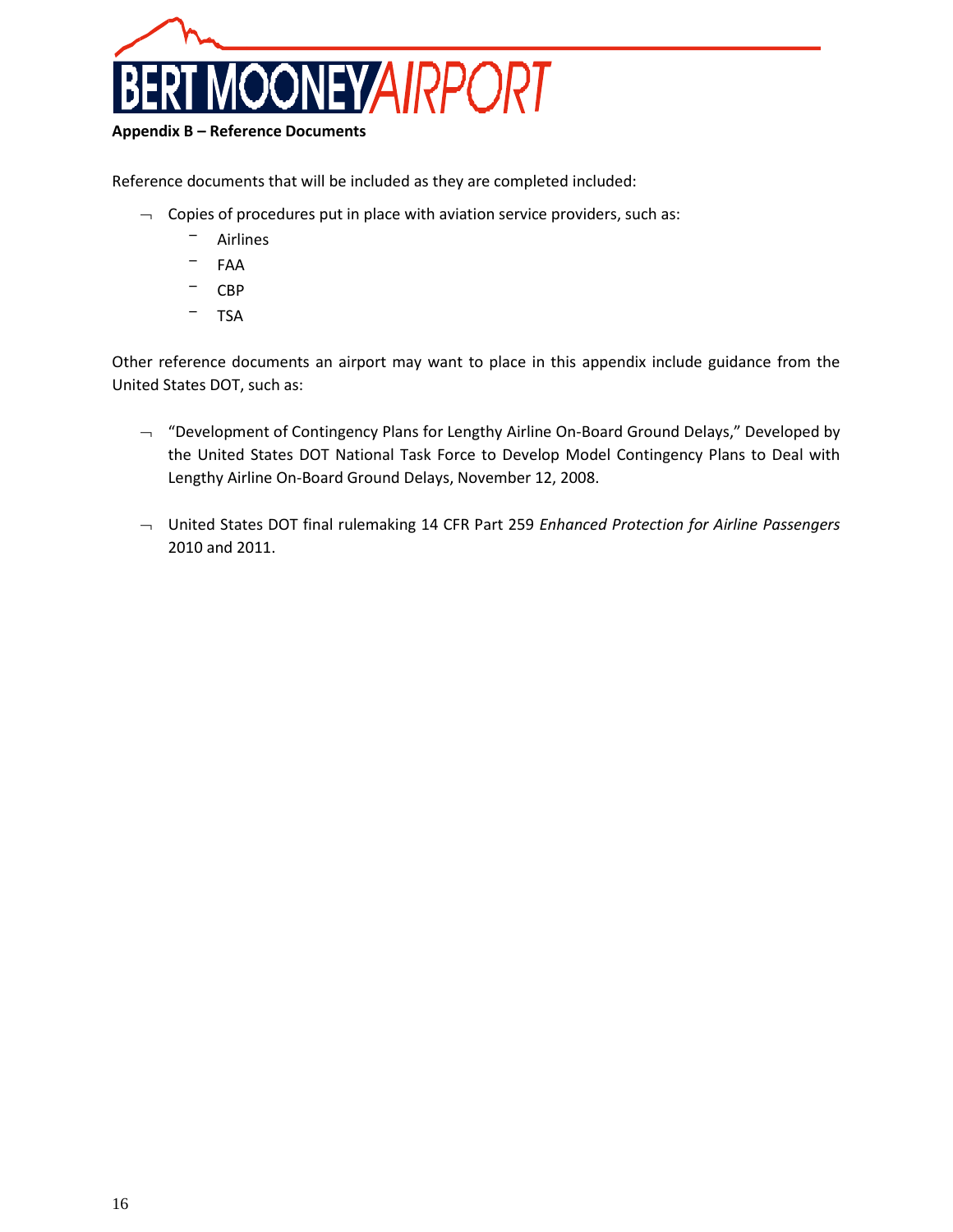

### <span id="page-15-0"></span>**Appendix B – Reference Documents**

Reference documents that will be included as they are completed included:

- $\lnot$  Copies of procedures put in place with aviation service providers, such as:
	- Airlines
	- FAA
	- CBP
	- TSA

Other reference documents an airport may want to place in this appendix include guidance from the United States DOT, such as:

- $\lnot$  "Development of Contingency Plans for Lengthy Airline On-Board Ground Delays," Developed by the United States DOT National Task Force to Develop Model Contingency Plans to Deal with Lengthy Airline On-Board Ground Delays, November 12, 2008.
- United States DOT final rulemaking 14 CFR Part 259 *Enhanced Protection for Airline Passengers*  2010 and 2011.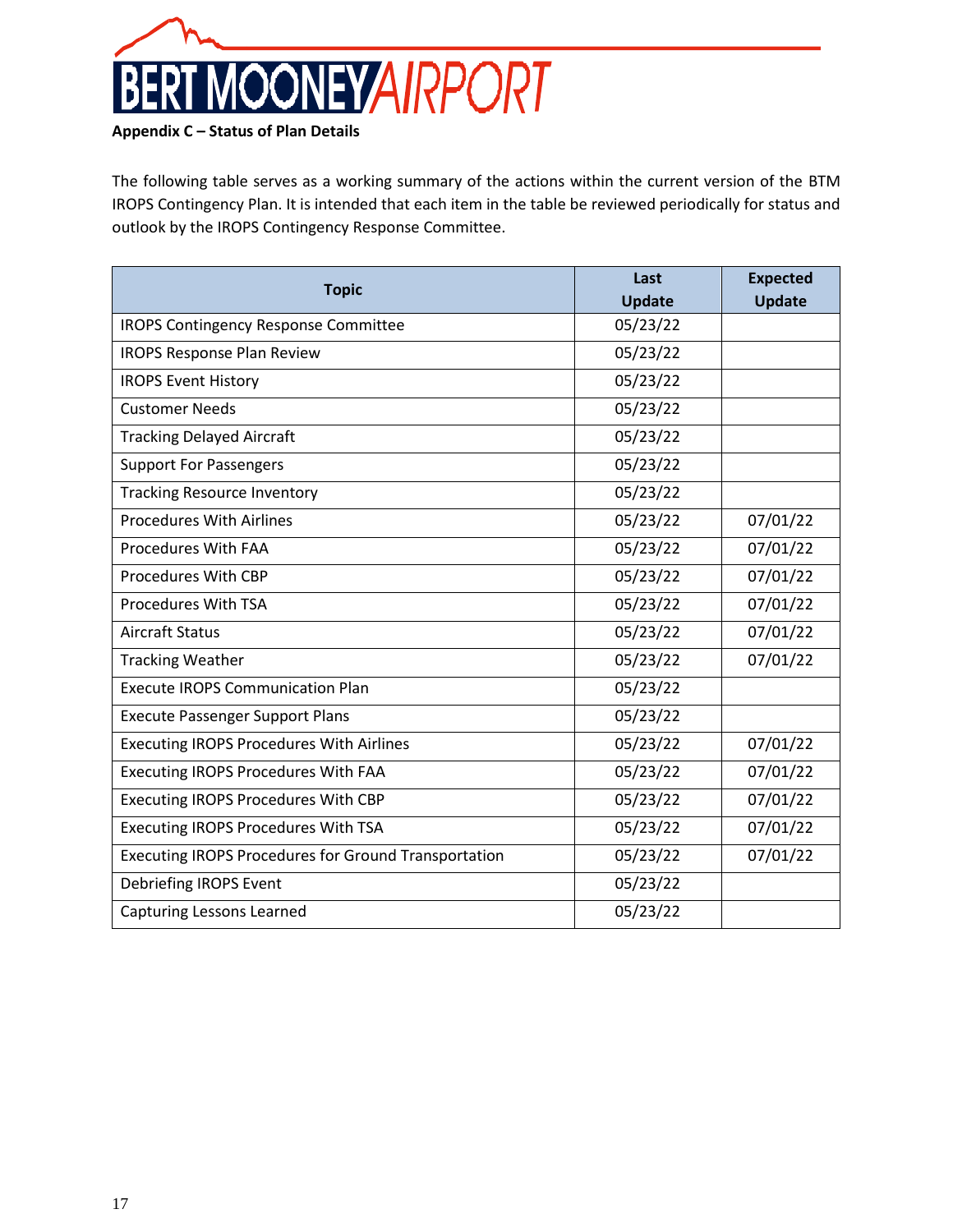

### <span id="page-16-0"></span>**Appendix C – Status of Plan Details**

The following table serves as a working summary of the actions within the current version of the BTM IROPS Contingency Plan. It is intended that each item in the table be reviewed periodically for status and outlook by the IROPS Contingency Response Committee.

|                                                             | Last          | <b>Expected</b> |
|-------------------------------------------------------------|---------------|-----------------|
| <b>Topic</b>                                                | <b>Update</b> | <b>Update</b>   |
| <b>IROPS Contingency Response Committee</b>                 | 05/23/22      |                 |
| <b>IROPS Response Plan Review</b>                           | 05/23/22      |                 |
| <b>IROPS Event History</b>                                  | 05/23/22      |                 |
| <b>Customer Needs</b>                                       | 05/23/22      |                 |
| <b>Tracking Delayed Aircraft</b>                            | 05/23/22      |                 |
| <b>Support For Passengers</b>                               | 05/23/22      |                 |
| <b>Tracking Resource Inventory</b>                          | 05/23/22      |                 |
| <b>Procedures With Airlines</b>                             | 05/23/22      | 07/01/22        |
| Procedures With FAA                                         | 05/23/22      | 07/01/22        |
| Procedures With CBP                                         | 05/23/22      | 07/01/22        |
| Procedures With TSA                                         | 05/23/22      | 07/01/22        |
| <b>Aircraft Status</b>                                      | 05/23/22      | 07/01/22        |
| <b>Tracking Weather</b>                                     | 05/23/22      | 07/01/22        |
| <b>Execute IROPS Communication Plan</b>                     | 05/23/22      |                 |
| <b>Execute Passenger Support Plans</b>                      | 05/23/22      |                 |
| <b>Executing IROPS Procedures With Airlines</b>             | 05/23/22      | 07/01/22        |
| Executing IROPS Procedures With FAA                         | 05/23/22      | 07/01/22        |
| <b>Executing IROPS Procedures With CBP</b>                  | 05/23/22      | 07/01/22        |
| <b>Executing IROPS Procedures With TSA</b>                  | 05/23/22      | 07/01/22        |
| <b>Executing IROPS Procedures for Ground Transportation</b> | 05/23/22      | 07/01/22        |
| Debriefing IROPS Event                                      | 05/23/22      |                 |
| <b>Capturing Lessons Learned</b>                            | 05/23/22      |                 |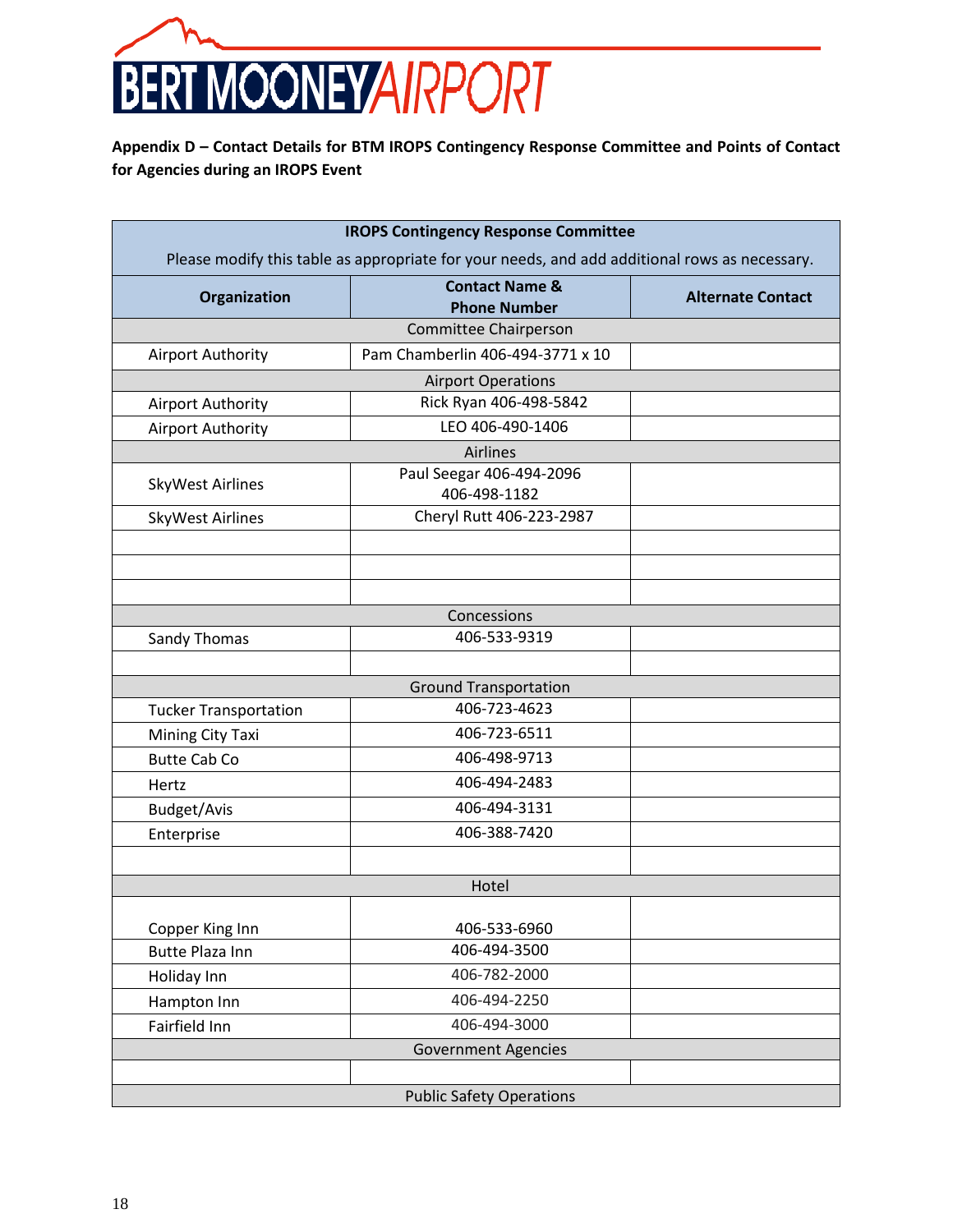

<span id="page-17-0"></span>**Appendix D – Contact Details for BTM IROPS Contingency Response Committee and Points of Contact for Agencies during an IROPS Event**

| <b>IROPS Contingency Response Committee</b>                                                   |                                  |                          |  |  |
|-----------------------------------------------------------------------------------------------|----------------------------------|--------------------------|--|--|
| Please modify this table as appropriate for your needs, and add additional rows as necessary. |                                  |                          |  |  |
|                                                                                               | <b>Contact Name &amp;</b>        |                          |  |  |
| Organization                                                                                  | <b>Phone Number</b>              | <b>Alternate Contact</b> |  |  |
|                                                                                               | Committee Chairperson            |                          |  |  |
| <b>Airport Authority</b>                                                                      | Pam Chamberlin 406-494-3771 x 10 |                          |  |  |
| <b>Airport Operations</b>                                                                     |                                  |                          |  |  |
| <b>Airport Authority</b>                                                                      | Rick Ryan 406-498-5842           |                          |  |  |
| Airport Authority                                                                             | LEO 406-490-1406                 |                          |  |  |
| Airlines                                                                                      |                                  |                          |  |  |
| <b>SkyWest Airlines</b>                                                                       | Paul Seegar 406-494-2096         |                          |  |  |
|                                                                                               | 406-498-1182                     |                          |  |  |
| <b>SkyWest Airlines</b>                                                                       | Cheryl Rutt 406-223-2987         |                          |  |  |
|                                                                                               |                                  |                          |  |  |
|                                                                                               |                                  |                          |  |  |
|                                                                                               |                                  |                          |  |  |
|                                                                                               | Concessions                      |                          |  |  |
| Sandy Thomas                                                                                  | 406-533-9319                     |                          |  |  |
|                                                                                               |                                  |                          |  |  |
| <b>Ground Transportation</b>                                                                  |                                  |                          |  |  |
| <b>Tucker Transportation</b>                                                                  | 406-723-4623                     |                          |  |  |
| Mining City Taxi                                                                              | 406-723-6511                     |                          |  |  |
| <b>Butte Cab Co</b>                                                                           | 406-498-9713                     |                          |  |  |
| Hertz                                                                                         | 406-494-2483                     |                          |  |  |
| Budget/Avis                                                                                   | 406-494-3131                     |                          |  |  |
| Enterprise                                                                                    | 406-388-7420                     |                          |  |  |
|                                                                                               |                                  |                          |  |  |
|                                                                                               | Hotel                            |                          |  |  |
|                                                                                               |                                  |                          |  |  |
| Copper King Inn                                                                               | 406-533-6960                     |                          |  |  |
| <b>Butte Plaza Inn</b>                                                                        | 406-494-3500                     |                          |  |  |
| Holiday Inn                                                                                   | 406-782-2000                     |                          |  |  |
| Hampton Inn                                                                                   | 406-494-2250                     |                          |  |  |
| Fairfield Inn                                                                                 | 406-494-3000                     |                          |  |  |
| <b>Government Agencies</b>                                                                    |                                  |                          |  |  |
|                                                                                               |                                  |                          |  |  |
| <b>Public Safety Operations</b>                                                               |                                  |                          |  |  |